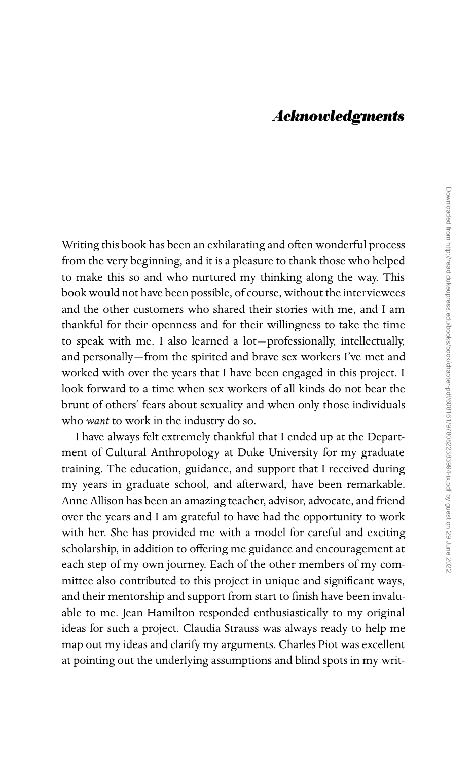## *Acknowledgments*

Writing this book has been an exhilarating and often wonderful process from the very beginning, and it is a pleasure to thank those who helped to make this so and who nurtured my thinking along the way. This book would not have been possible, of course, without the interviewees and the other customers who shared their stories with me, and I am thankful for their openness and for their willingness to take the time to speak with me. I also learned a lot—professionally, intellectually, and personally—from the spirited and brave sex workers I've met and worked with over the years that I have been engaged in this project. I look forward to a time when sex workers of all kinds do not bear the brunt of others' fears about sexuality and when only those individuals who *want* to work in the industry do so.

I have always felt extremely thankful that I ended up at the Department of Cultural Anthropology at Duke University for my graduate training. The education, guidance, and support that I received during my years in graduate school, and afterward, have been remarkable. Anne Allison has been an amazing teacher, advisor, advocate, and friend over the years and I am grateful to have had the opportunity to work with her. She has provided me with a model for careful and exciting scholarship, in addition to offering me guidance and encouragement at each step of my own journey. Each of the other members of my committee also contributed to this project in unique and significant ways, and their mentorship and support from start to finish have been invaluable to me. Jean Hamilton responded enthusiastically to my original ideas for such a project. Claudia Strauss was always ready to help me map out my ideas and clarify my arguments. Charles Piot was excellent at pointing out the underlying assumptions and blind spots in my writ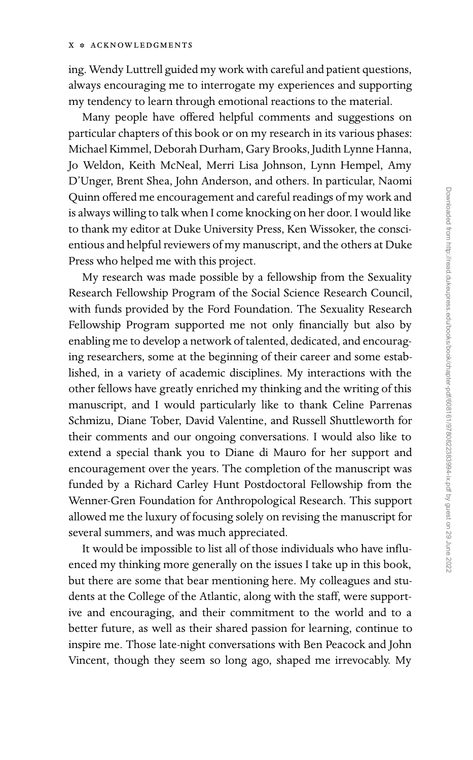ing. Wendy Luttrell guided my work with careful and patient questions, always encouraging me to interrogate my experiences and supporting my tendency to learn through emotional reactions to the material.

Many people have offered helpful comments and suggestions on particular chapters of this book or on my research in its various phases: Michael Kimmel, Deborah Durham, Gary Brooks, Judith Lynne Hanna, Jo Weldon, Keith McNeal, Merri Lisa Johnson, Lynn Hempel, Amy D'Unger, Brent Shea, John Anderson, and others. In particular, Naomi Quinn offered me encouragement and careful readings of my work and is always willing to talk when I come knocking on her door. I would like to thank my editor at Duke University Press, Ken Wissoker, the conscientious and helpful reviewers of my manuscript, and the others at Duke Press who helped me with this project.

My research was made possible by a fellowship from the Sexuality Research Fellowship Program of the Social Science Research Council, with funds provided by the Ford Foundation. The Sexuality Research Fellowship Program supported me not only financially but also by enabling me to develop a network of talented, dedicated, and encouraging researchers, some at the beginning of their career and some established, in a variety of academic disciplines. My interactions with the other fellows have greatly enriched my thinking and the writing of this manuscript, and I would particularly like to thank Celine Parrenas Schmizu, Diane Tober, David Valentine, and Russell Shuttleworth for their comments and our ongoing conversations. I would also like to extend a special thank you to Diane di Mauro for her support and encouragement over the years. The completion of the manuscript was funded by a Richard Carley Hunt Postdoctoral Fellowship from the Wenner-Gren Foundation for Anthropological Research. This support allowed me the luxury of focusing solely on revising the manuscript for several summers, and was much appreciated.

It would be impossible to list all of those individuals who have influenced my thinking more generally on the issues I take up in this book, but there are some that bear mentioning here. My colleagues and students at the College of the Atlantic, along with the staff, were supportive and encouraging, and their commitment to the world and to a better future, as well as their shared passion for learning, continue to inspire me. Those late-night conversations with Ben Peacock and John Vincent, though they seem so long ago, shaped me irrevocably. My